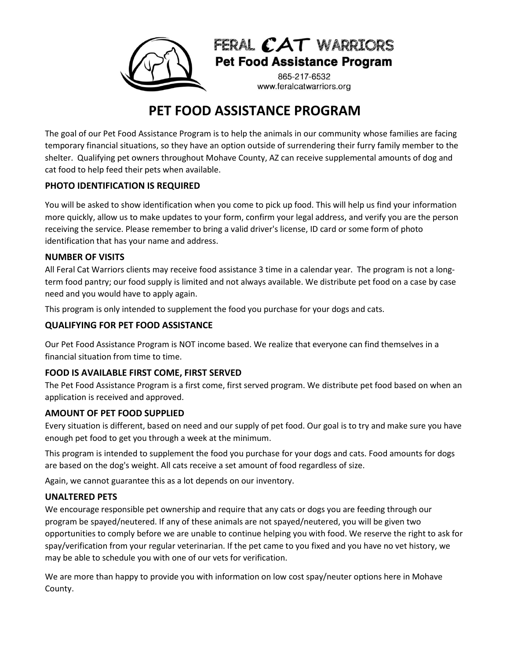

## FERAL CAT WARRIORS **Pet Food Assistance Program**

865-217-6532 www.feralcatwarriors.org

# **PET FOOD ASSISTANCE PROGRAM**

The goal of our Pet Food Assistance Program is to help the animals in our community whose families are facing temporary financial situations, so they have an option outside of surrendering their furry family member to the shelter. Qualifying pet owners throughout Mohave County, AZ can receive supplemental amounts of dog and cat food to help feed their pets when available.

## **PHOTO IDENTIFICATION IS REQUIRED**

You will be asked to show identification when you come to pick up food. This will help us find your information more quickly, allow us to make updates to your form, confirm your legal address, and verify you are the person receiving the service. Please remember to bring a valid driver's license, ID card or some form of photo identification that has your name and address.

### **NUMBER OF VISITS**

All Feral Cat Warriors clients may receive food assistance 3 time in a calendar year. The program is not a longterm food pantry; our food supply is limited and not always available. We distribute pet food on a case by case need and you would have to apply again.

This program is only intended to supplement the food you purchase for your dogs and cats.

## **QUALIFYING FOR PET FOOD ASSISTANCE**

Our Pet Food Assistance Program is NOT income based. We realize that everyone can find themselves in a financial situation from time to time.

## **FOOD IS AVAILABLE FIRST COME, FIRST SERVED**

The Pet Food Assistance Program is a first come, first served program. We distribute pet food based on when an application is received and approved.

## **AMOUNT OF PET FOOD SUPPLIED**

Every situation is different, based on need and our supply of pet food. Our goal is to try and make sure you have enough pet food to get you through a week at the minimum.

This program is intended to supplement the food you purchase for your dogs and cats. Food amounts for dogs are based on the dog's weight. All cats receive a set amount of food regardless of size.

Again, we cannot guarantee this as a lot depends on our inventory.

#### **UNALTERED PETS**

We encourage responsible pet ownership and require that any cats or dogs you are feeding through our program be spayed/neutered. If any of these animals are not spayed/neutered, you will be given two opportunities to comply before we are unable to continue helping you with food. We reserve the right to ask for spay/verification from your regular veterinarian. If the pet came to you fixed and you have no vet history, we may be able to schedule you with one of our vets for verification.

We are more than happy to provide you with information on low cost spay/neuter options here in Mohave County.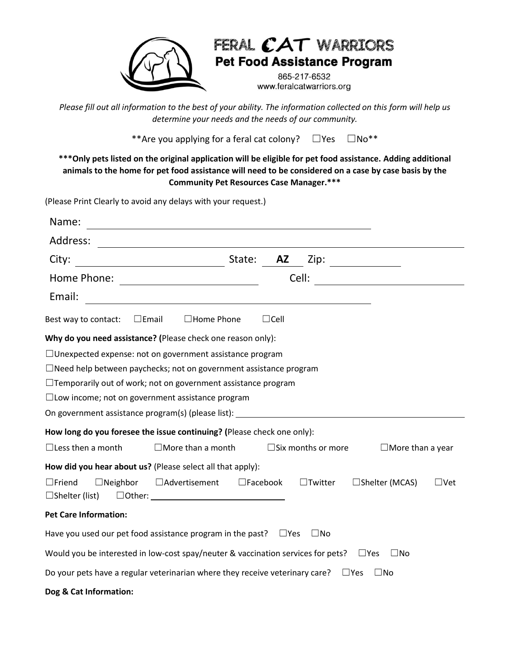

## FERAL CAT WARRIORS **Pet Food Assistance Program**

865-217-6532 www.feralcatwarriors.org

*Please fill out all information to the best of your ability. The information collected on this form will help us determine your needs and the needs of our community.*

\*\*Are you applying for a feral cat colony?  $□Yes$   $□No**$ 

**\*\*\*Only pets listed on the original application will be eligible for pet food assistance. Adding additional animals to the home for pet food assistance will need to be considered on a case by case basis by the Community Pet Resources Case Manager.\*\*\***

(Please Print Clearly to avoid any delays with your request.)

| Name:                                                                                                                              |             |                              |                               |              |  |  |
|------------------------------------------------------------------------------------------------------------------------------------|-------------|------------------------------|-------------------------------|--------------|--|--|
| Address:                                                                                                                           |             |                              |                               |              |  |  |
| City:                                                                                                                              |             |                              | <b>AZ</b> Zip: ______________ |              |  |  |
|                                                                                                                                    |             |                              | Cell:                         |              |  |  |
| Email:<br><u> 1980 - Johann Barbara, martxa amerikan personal (h. 1980).</u>                                                       |             |                              |                               |              |  |  |
| $\square$ Email<br>$\Box$ Home Phone<br>Best way to contact:                                                                       | $\Box$ Cell |                              |                               |              |  |  |
| Why do you need assistance? (Please check one reason only):                                                                        |             |                              |                               |              |  |  |
| $\Box$ Unexpected expense: not on government assistance program                                                                    |             |                              |                               |              |  |  |
| $\Box$ Need help between paychecks; not on government assistance program                                                           |             |                              |                               |              |  |  |
| $\Box$ Temporarily out of work; not on government assistance program                                                               |             |                              |                               |              |  |  |
| $\square$ Low income; not on government assistance program                                                                         |             |                              |                               |              |  |  |
| On government assistance program(s) (please list): _____________________________                                                   |             |                              |                               |              |  |  |
| How long do you foresee the issue continuing? (Please check one only):                                                             |             |                              |                               |              |  |  |
| $\Box$ Less then a month<br>$\Box$ More than a month                                                                               |             | $\square$ Six months or more | $\Box$ More than a year       |              |  |  |
| How did you hear about us? (Please select all that apply):                                                                         |             |                              |                               |              |  |  |
| $\Box$ Friend<br>$\Box$ Neighbor<br>□Advertisement<br>$\square$ Facebook<br>$\Box$ Shelter (list)<br>$\Box$ Other: $\qquad \qquad$ |             | $\Box$ Twitter               | □Shelter (MCAS)               | $\sqcup$ Vet |  |  |
| <b>Pet Care Information:</b>                                                                                                       |             |                              |                               |              |  |  |
| Have you used our pet food assistance program in the past? $\Box$ Yes                                                              |             | $\Box$ No                    |                               |              |  |  |
| Would you be interested in low-cost spay/neuter & vaccination services for pets? $\square$ Yes                                     |             |                              | $\Box$ No                     |              |  |  |
| Do your pets have a regular veterinarian where they receive veterinary care?                                                       |             |                              | $\square$ No<br>$\square$ Yes |              |  |  |
| Dog & Cat Information:                                                                                                             |             |                              |                               |              |  |  |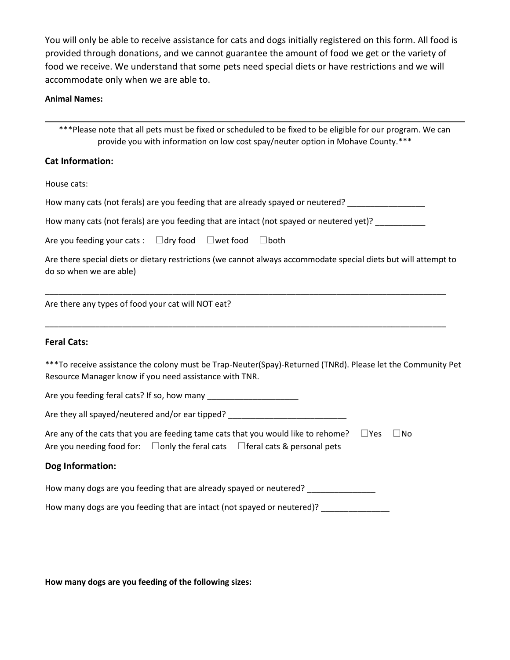You will only be able to receive assistance for cats and dogs initially registered on this form. All food is provided through donations, and we cannot guarantee the amount of food we get or the variety of food we receive. We understand that some pets need special diets or have restrictions and we will accommodate only when we are able to.

#### **Animal Names:**

\*\*\*Please note that all pets must be fixed or scheduled to be fixed to be eligible for our program. We can provide you with information on low cost spay/neuter option in Mohave County.\*\*\*

#### **Cat Information:**

House cats:

How many cats (not ferals) are you feeding that are already spayed or neutered? \_\_\_\_\_\_\_\_\_\_\_\_\_\_\_\_\_\_\_

How many cats (not ferals) are you feeding that are intact (not spayed or neutered yet)? \_\_\_\_\_\_\_\_\_\_

Are you feeding your cats : □dry food □wet food □both

Are there special diets or dietary restrictions (we cannot always accommodate special diets but will attempt to do so when we are able)

\_\_\_\_\_\_\_\_\_\_\_\_\_\_\_\_\_\_\_\_\_\_\_\_\_\_\_\_\_\_\_\_\_\_\_\_\_\_\_\_\_\_\_\_\_\_\_\_\_\_\_\_\_\_\_\_\_\_\_\_\_\_\_\_\_\_\_\_\_\_\_\_\_\_\_\_\_\_\_\_\_\_\_\_\_\_\_\_

\_\_\_\_\_\_\_\_\_\_\_\_\_\_\_\_\_\_\_\_\_\_\_\_\_\_\_\_\_\_\_\_\_\_\_\_\_\_\_\_\_\_\_\_\_\_\_\_\_\_\_\_\_\_\_\_\_\_\_\_\_\_\_\_\_\_\_\_\_\_\_\_\_\_\_\_\_\_\_\_\_\_\_\_\_\_\_\_

Are there any types of food your cat will NOT eat?

#### **Feral Cats:**

\*\*\*To receive assistance the colony must be Trap-Neuter(Spay)-Returned (TNRd). Please let the Community Pet Resource Manager know if you need assistance with TNR.

Are you feeding feral cats? If so, how many \_\_\_\_\_\_\_\_\_\_\_\_\_\_\_\_\_\_\_\_

Are they all spayed/neutered and/or ear tipped? \_\_\_\_\_\_\_\_\_\_\_\_\_\_\_\_\_\_\_\_\_\_\_\_\_\_\_\_\_\_\_\_

|  | Are any of the cats that you are feeding tame cats that you would like to rehome? $\square$ Yes | $\square$ No |
|--|-------------------------------------------------------------------------------------------------|--------------|
|  | Are you needing food for: $\Box$ only the feral cats $\Box$ feral cats & personal pets          |              |

#### **Dog Information:**

How many dogs are you feeding that are already spayed or neutered?

How many dogs are you feeding that are intact (not spayed or neutered)?

**How many dogs are you feeding of the following sizes:**